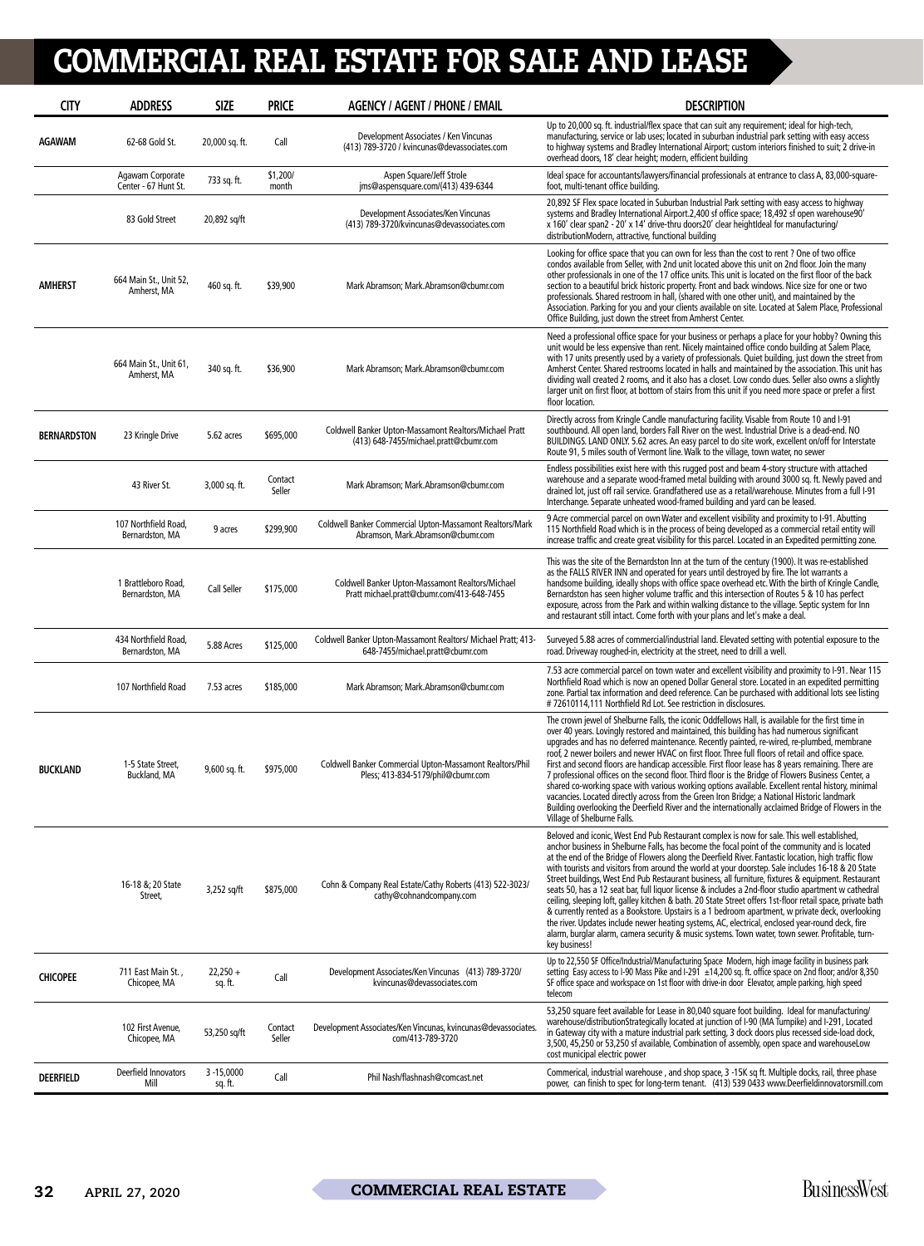| <b>CITY</b>        | <b>ADDRESS</b>                           | <b>SIZE</b>              | <b>PRICE</b>      | <b>AGENCY / AGENT / PHONE / EMAIL</b>                                                             | <b>DESCRIPTION</b>                                                                                                                                                                                                                                                                                                                                                                                                                                                                                                                                                                                                                                                                                                                                                                                                                                                                                                                                                                                                                                                    |
|--------------------|------------------------------------------|--------------------------|-------------------|---------------------------------------------------------------------------------------------------|-----------------------------------------------------------------------------------------------------------------------------------------------------------------------------------------------------------------------------------------------------------------------------------------------------------------------------------------------------------------------------------------------------------------------------------------------------------------------------------------------------------------------------------------------------------------------------------------------------------------------------------------------------------------------------------------------------------------------------------------------------------------------------------------------------------------------------------------------------------------------------------------------------------------------------------------------------------------------------------------------------------------------------------------------------------------------|
| AGAWAM             | 62-68 Gold St.                           | 20,000 sq. ft.           | Call              | Development Associates / Ken Vincunas<br>(413) 789-3720 / kvincunas@devassociates.com             | Up to 20,000 sq. ft. industrial/flex space that can suit any requirement; ideal for high-tech,<br>manufacturing, service or lab uses; located in suburban industrial park setting with easy access<br>to highway systems and Bradley International Airport; custom interiors finished to suit; 2 drive-in<br>overhead doors, 18' clear height; modern, efficient building                                                                                                                                                                                                                                                                                                                                                                                                                                                                                                                                                                                                                                                                                             |
|                    | Agawam Corporate<br>Center - 67 Hunt St. | 733 sq. ft.              | \$1,200/<br>month | Aspen Square/Jeff Strole<br>ims@aspensquare.com/(413) 439-6344                                    | Ideal space for accountants/lawyers/financial professionals at entrance to class A, 83,000-square-<br>foot, multi-tenant office building.                                                                                                                                                                                                                                                                                                                                                                                                                                                                                                                                                                                                                                                                                                                                                                                                                                                                                                                             |
|                    | 83 Gold Street                           | 20,892 sq/ft             |                   | Development Associates/Ken Vincunas<br>(413) 789-3720/kvincunas@devassociates.com                 | 20,892 SF Flex space located in Suburban Industrial Park setting with easy access to highway<br>systems and Bradley International Airport.2,400 sf office space; 18,492 sf open warehouse90'<br>x 160' clear span2 - 20' x 14' drive-thru doors20' clear heightIdeal for manufacturing/<br>distributionModern, attractive, functional building                                                                                                                                                                                                                                                                                                                                                                                                                                                                                                                                                                                                                                                                                                                        |
| <b>AMHERST</b>     | 664 Main St., Unit 52,<br>Amherst, MA    | 460 sq. ft.              | \$39,900          | Mark Abramson; Mark.Abramson@cbumr.com                                                            | Looking for office space that you can own for less than the cost to rent ? One of two office<br>condos available from Seller, with 2nd unit located above this unit on 2nd floor. Join the many<br>other professionals in one of the 17 office units. This unit is located on the first floor of the back<br>section to a beautiful brick historic property. Front and back windows. Nice size for one or two<br>professionals. Shared restroom in hall, (shared with one other unit), and maintained by the<br>Association. Parking for you and your clients available on site. Located at Salem Place, Professional<br>Office Building, just down the street from Amherst Center.                                                                                                                                                                                                                                                                                                                                                                                   |
|                    | 664 Main St., Unit 61,<br>Amherst, MA    | 340 sq. ft.              | \$36,900          | Mark Abramson; Mark.Abramson@cbumr.com                                                            | Need a professional office space for your business or perhaps a place for your hobby? Owning this<br>unit would be less expensive than rent. Nicely maintained office condo building at Salem Place,<br>with 17 units presently used by a variety of professionals. Quiet building, just down the street from<br>Amherst Center. Shared restrooms located in halls and maintained by the association. This unit has<br>dividing wall created 2 rooms, and it also has a closet. Low condo dues. Seller also owns a slightly<br>larger unit on first floor, at bottom of stairs from this unit if you need more space or prefer a first<br>floor location.                                                                                                                                                                                                                                                                                                                                                                                                             |
| <b>BERNARDSTON</b> | 23 Kringle Drive                         | 5.62 acres               | \$695,000         | Coldwell Banker Upton-Massamont Realtors/Michael Pratt<br>(413) 648-7455/michael.pratt@cbumr.com  | Directly across from Kringle Candle manufacturing facility. Visable from Route 10 and I-91<br>southbound. All open land, borders Fall River on the west. Industrial Drive is a dead-end. NO<br>BUILDINGS. LAND ONLY. 5.62 acres. An easy parcel to do site work, excellent on/off for Interstate<br>Route 91, 5 miles south of Vermont line. Walk to the village, town water, no sewer                                                                                                                                                                                                                                                                                                                                                                                                                                                                                                                                                                                                                                                                                |
|                    | 43 River St.                             | 3,000 sq. ft.            | Contact<br>Seller | Mark Abramson; Mark.Abramson@cbumr.com                                                            | Endless possibilities exist here with this rugged post and beam 4-story structure with attached<br>warehouse and a separate wood-framed metal building with around 3000 sq. ft. Newly paved and<br>drained lot, just off rail service. Grandfathered use as a retail/warehouse. Minutes from a full I-91<br>Interchange. Separate unheated wood-framed building and yard can be leased.                                                                                                                                                                                                                                                                                                                                                                                                                                                                                                                                                                                                                                                                               |
|                    | 107 Northfield Road,<br>Bernardston, MA  | 9 acres                  | \$299,900         | Coldwell Banker Commercial Upton-Massamont Realtors/Mark<br>Abramson, Mark.Abramson@cbumr.com     | 9 Acre commercial parcel on own Water and excellent visibility and proximity to I-91. Abutting<br>115 Northfield Road which is in the process of being developed as a commercial retail entity will<br>increase traffic and create great visibility for this parcel. Located in an Expedited permitting zone.                                                                                                                                                                                                                                                                                                                                                                                                                                                                                                                                                                                                                                                                                                                                                         |
|                    | 1 Brattleboro Road,<br>Bernardston, MA   | Call Seller              | \$175,000         | Coldwell Banker Upton-Massamont Realtors/Michael<br>Pratt michael.pratt@cbumr.com/413-648-7455    | This was the site of the Bernardston Inn at the turn of the century (1900). It was re-established<br>as the FALLS RIVER INN and operated for years until destroyed by fire. The lot warrants a<br>handsome building, ideally shops with office space overhead etc. With the birth of Kringle Candle,<br>Bernardston has seen higher volume traffic and this intersection of Routes 5 & 10 has perfect<br>exposure, across from the Park and within walking distance to the village. Septic system for Inn<br>and restaurant still intact. Come forth with your plans and let's make a deal.                                                                                                                                                                                                                                                                                                                                                                                                                                                                           |
|                    | 434 Northfield Road,<br>Bernardston, MA  | 5.88 Acres               | \$125,000         | Coldwell Banker Upton-Massamont Realtors/ Michael Pratt; 413-<br>648-7455/michael.pratt@cbumr.com | Surveyed 5.88 acres of commercial/industrial land. Elevated setting with potential exposure to the<br>road. Driveway roughed-in, electricity at the street, need to drill a well.                                                                                                                                                                                                                                                                                                                                                                                                                                                                                                                                                                                                                                                                                                                                                                                                                                                                                     |
|                    | 107 Northfield Road                      | 7.53 acres               | \$185,000         | Mark Abramson; Mark.Abramson@cbumr.com                                                            | 7.53 acre commercial parcel on town water and excellent visibility and proximity to I-91. Near 115<br>Northfield Road which is now an opened Dollar General store. Located in an expedited permitting<br>zone. Partial tax information and deed reference. Can be purchased with additional lots see listing<br>#72610114,111 Northfield Rd Lot. See restriction in disclosures.                                                                                                                                                                                                                                                                                                                                                                                                                                                                                                                                                                                                                                                                                      |
| <b>BUCKLAND</b>    | 1-5 State Street,<br>Buckland, MA        | 9,600 sq. ft.            | \$975,000         | Coldwell Banker Commercial Upton-Massamont Realtors/Phil<br>Pless; 413-834-5179/phil@cbumr.com    | The crown jewel of Shelburne Falls, the iconic Oddfellows Hall, is available for the first time in<br>over 40 years. Lovingly restored and maintained, this building has had numerous significant<br>upgrades and has no deferred maintenance. Recently painted, re-wired, re-plumbed, membrane<br>roof, 2 newer boilers and newer HVAC on first floor. Three full floors of retail and office space.<br>First and second floors are handicap accessible. First floor lease has 8 years remaining. There are<br>7 professional offices on the second floor. Third floor is the Bridge of Flowers Business Center, a<br>shared co-working space with various working options available. Excellent rental history, minimal<br>vacancies. Located directly across from the Green Iron Bridge; a National Historic landmark<br>Building overlooking the Deerfield River and the internationally acclaimed Bridge of Flowers in the<br>Village of Shelburne Falls.                                                                                                         |
|                    | 16-18 &; 20 State<br>Street,             | 3,252 sq/ft              | \$875,000         | Cohn & Company Real Estate/Cathy Roberts (413) 522-3023/<br>cathy@cohnandcompany.com              | Beloved and iconic, West End Pub Restaurant complex is now for sale. This well established,<br>anchor business in Shelburne Falls, has become the focal point of the community and is located<br>at the end of the Bridge of Flowers along the Deerfield River. Fantastic location, high traffic flow<br>with tourists and visitors from around the world at your doorstep. Sale includes 16-18 & 20 State<br>Street buildings, West End Pub Restaurant business, all furniture, fixtures & equipment. Restaurant<br>seats 50, has a 12 seat bar, full liquor license & includes a 2nd-floor studio apartment w cathedral<br>ceiling, sleeping loft, galley kitchen & bath. 20 State Street offers 1st-floor retail space, private bath<br>& currently rented as a Bookstore. Upstairs is a 1 bedroom apartment, w private deck, overlooking<br>the river. Updates include newer heating systems, AC, electrical, enclosed year-round deck, fire<br>alarm, burglar alarm, camera security & music systems. Town water, town sewer. Profitable, turn-<br>key business! |
| <b>CHICOPEE</b>    | 711 East Main St.,<br>Chicopee, MA       | $22,250 +$<br>sq. ft.    | Call              | Development Associates/Ken Vincunas (413) 789-3720/<br>kvincunas@devassociates.com                | Up to 22,550 SF Office/Industrial/Manufacturing Space Modern, high image facility in business park<br>setting Easy access to I-90 Mass Pike and I-291 ±14,200 sq. ft. office space on 2nd floor; and/or 8,350<br>SF office space and workspace on 1st floor with drive-in door Elevator, ample parking, high speed<br>telecom                                                                                                                                                                                                                                                                                                                                                                                                                                                                                                                                                                                                                                                                                                                                         |
|                    | 102 First Avenue,<br>Chicopee, MA        | 53,250 sq/ft             | Contact<br>Seller | Development Associates/Ken Vincunas, kvincunas@devassociates<br>com/413-789-3720                  | 53,250 square feet available for Lease in 80,040 square foot building. Ideal for manufacturing/<br>warehouse/distributionStrategically located at junction of I-90 (MA Turnpike) and I-291, Located<br>in Gateway city with a mature industrial park setting, 3 dock doors plus recessed side-load dock,<br>3,500, 45,250 or 53,250 sf available, Combination of assembly, open space and warehouseLow<br>cost municipal electric power                                                                                                                                                                                                                                                                                                                                                                                                                                                                                                                                                                                                                               |
| <b>DEERFIELD</b>   | Deerfield Innovators<br>Mill             | $3 - 15,0000$<br>sq. ft. | Call              | Phil Nash/flashnash@comcast.net                                                                   | Commerical, industrial warehouse, and shop space, 3-15K sq ft. Multiple docks, rail, three phase<br>power, can finish to spec for long-term tenant. (413) 539 0433 www.Deerfieldinnovatorsmill.com                                                                                                                                                                                                                                                                                                                                                                                                                                                                                                                                                                                                                                                                                                                                                                                                                                                                    |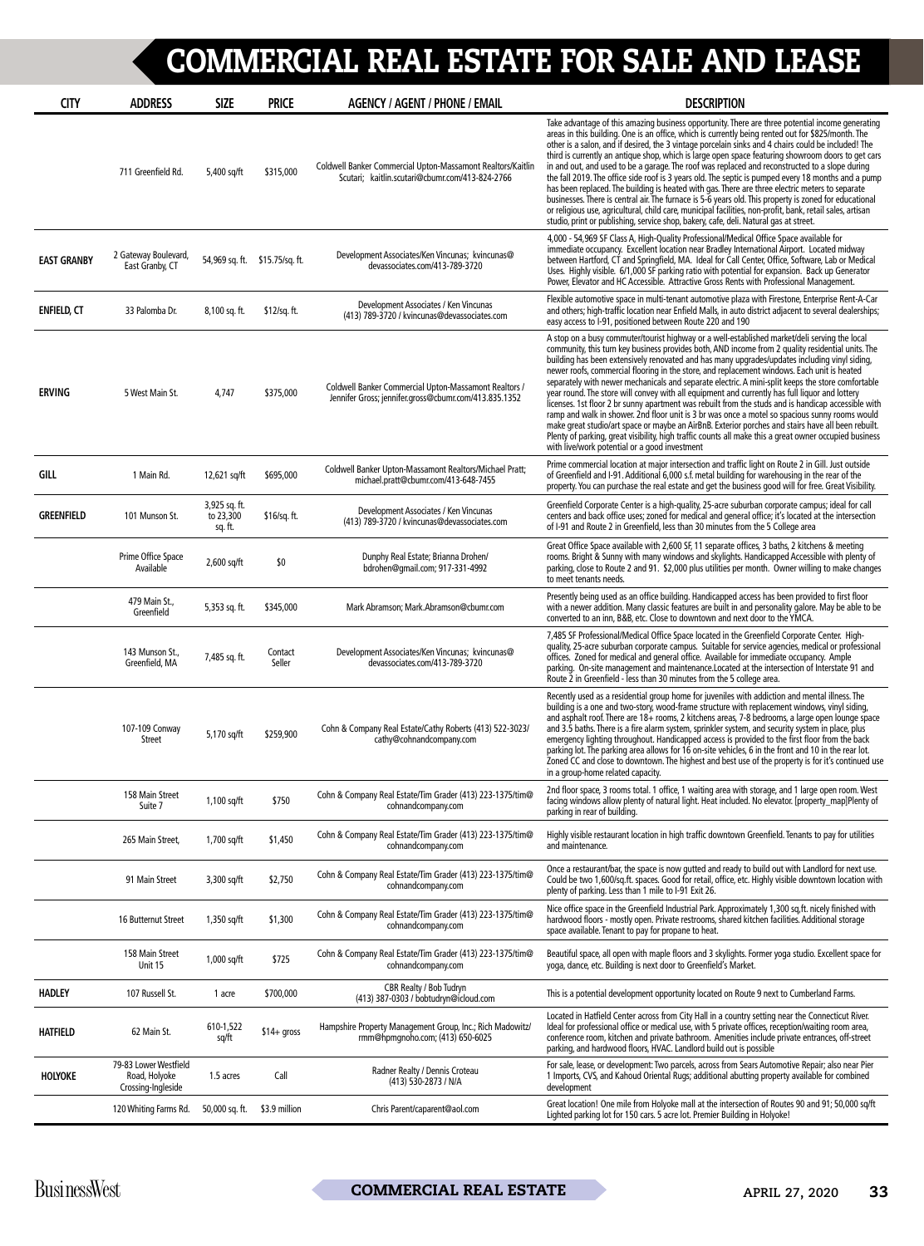| <b>CITY</b>        | <b>ADDRESS</b>                                               | <b>SIZE</b>                           | <b>PRICE</b>                   | <b>AGENCY / AGENT / PHONE / EMAIL</b>                                                                          | <b>DESCRIPTION</b>                                                                                                                                                                                                                                                                                                                                                                                                                                                                                                                                                                                                                                                                                                                                                                                                                                                                                                                                                                                                                                                                  |
|--------------------|--------------------------------------------------------------|---------------------------------------|--------------------------------|----------------------------------------------------------------------------------------------------------------|-------------------------------------------------------------------------------------------------------------------------------------------------------------------------------------------------------------------------------------------------------------------------------------------------------------------------------------------------------------------------------------------------------------------------------------------------------------------------------------------------------------------------------------------------------------------------------------------------------------------------------------------------------------------------------------------------------------------------------------------------------------------------------------------------------------------------------------------------------------------------------------------------------------------------------------------------------------------------------------------------------------------------------------------------------------------------------------|
|                    | 711 Greenfield Rd.                                           | 5,400 sq/ft                           | \$315,000                      | Coldwell Banker Commercial Upton-Massamont Realtors/Kaitlin<br>Scutari; kaitlin.scutari@cbumr.com/413-824-2766 | Take advantage of this amazing business opportunity. There are three potential income generating<br>areas in this building. One is an office, which is currently being rented out for \$825/month. The<br>other is a salon, and if desired, the 3 vintage porcelain sinks and 4 chairs could be included! The<br>third is currently an antique shop, which is large open space featuring showroom doors to get cars<br>in and out, and used to be a garage. The roof was replaced and reconstructed to a slope during<br>the fall 2019. The office side roof is 3 years old. The septic is pumped every 18 months and a pump<br>has been replaced. The building is heated with gas. There are three electric meters to separate<br>businesses. There is central air. The furnace is 5-6 years old. This property is zoned for educational<br>or religious use, agricultural, child care, municipal facilities, non-profit, bank, retail sales, artisan<br>studio, print or publishing, service shop, bakery, cafe, deli. Natural gas at street.                                     |
| <b>EAST GRANBY</b> | 2 Gateway Boulevard,<br>East Granby, CT                      |                                       | 54,969 sq. ft. \$15.75/sq. ft. | Development Associates/Ken Vincunas; kvincunas@<br>devassociates.com/413-789-3720                              | 4,000 - 54,969 SF Class A, High-Quality Professional/Medical Office Space available for<br>immediate occupancy. Excellent location near Bradley International Airport. Located midway<br>between Hartford, CT and Springfield, MA. Ideal for Call Center, Office, Software, Lab or Medical<br>Uses. Highly visible. 6/1,000 SF parking ratio with potential for expansion. Back up Generator<br>Power, Elevator and HC Accessible. Attractive Gross Rents with Professional Management.                                                                                                                                                                                                                                                                                                                                                                                                                                                                                                                                                                                             |
| <b>ENFIELD, CT</b> | 33 Palomba Dr.                                               | 8,100 sq. ft.                         | \$12/sq. ft.                   | Development Associates / Ken Vincunas<br>(413) 789-3720 / kvincunas@devassociates.com                          | Flexible automotive space in multi-tenant automotive plaza with Firestone, Enterprise Rent-A-Car<br>and others; high-traffic location near Enfield Malls, in auto district adjacent to several dealerships;<br>easy access to I-91, positioned between Route 220 and 190                                                                                                                                                                                                                                                                                                                                                                                                                                                                                                                                                                                                                                                                                                                                                                                                            |
| <b>ERVING</b>      | 5 West Main St.                                              | 4,747                                 | \$375,000                      | Coldwell Banker Commercial Upton-Massamont Realtors /<br>Jennifer Gross; jennifer.gross@cbumr.com/413.835.1352 | A stop on a busy commuter/tourist highway or a well-established market/deli serving the local<br>community, this turn key business provides both, AND income from 2 quality residential units. The<br>building has been extensively renovated and has many upgrades/updates including vinyl siding,<br>newer roofs, commercial flooring in the store, and replacement windows. Each unit is heated<br>separately with newer mechanicals and separate electric. A mini-split keeps the store comfortable<br>year round. The store will convey with all equipment and currently has full liquor and lottery<br>licenses. 1st floor 2 br sunny apartment was rebuilt from the studs and is handicap accessible with<br>ramp and walk in shower. 2nd floor unit is 3 br was once a motel so spacious sunny rooms would<br>make great studio/art space or maybe an AirBnB. Exterior porches and stairs have all been rebuilt.<br>Plenty of parking, great visibility, high traffic counts all make this a great owner occupied business<br>with live/work potential or a good investment |
| GILL               | 1 Main Rd.                                                   | 12,621 sq/ft                          | \$695,000                      | Coldwell Banker Upton-Massamont Realtors/Michael Pratt;<br>michael.pratt@cbumr.com/413-648-7455                | Prime commercial location at major intersection and traffic light on Route 2 in Gill. Just outside<br>of Greenfield and I-91. Additional 6,000 s.f. metal building for warehousing in the rear of the<br>property. You can purchase the real estate and get the business good will for free. Great Visibility.                                                                                                                                                                                                                                                                                                                                                                                                                                                                                                                                                                                                                                                                                                                                                                      |
| <b>GREENFIELD</b>  | 101 Munson St.                                               | 3,925 sq. ft.<br>to 23,300<br>sq. ft. | \$16/sq. ft.                   | Development Associates / Ken Vincunas<br>(413) 789-3720 / kvincunas@devassociates.com                          | Greenfield Corporate Center is a high-quality, 25-acre suburban corporate campus; ideal for call<br>centers and back office uses; zoned for medical and general office; it's located at the intersection<br>of I-91 and Route 2 in Greenfield, less than 30 minutes from the 5 College area                                                                                                                                                                                                                                                                                                                                                                                                                                                                                                                                                                                                                                                                                                                                                                                         |
|                    | Prime Office Space<br>Available                              | $2,600$ sq/ft                         | \$0                            | Dunphy Real Estate; Brianna Drohen/<br>bdrohen@qmail.com; 917-331-4992                                         | Great Office Space available with 2,600 SF, 11 separate offices, 3 baths, 2 kitchens & meeting<br>rooms. Bright & Sunny with many windows and skylights. Handicapped Accessible with plenty of<br>parking, close to Route 2 and 91. \$2,000 plus utilities per month. Owner willing to make changes<br>to meet tenants needs.                                                                                                                                                                                                                                                                                                                                                                                                                                                                                                                                                                                                                                                                                                                                                       |
|                    | 479 Main St.,<br>Greenfield                                  | 5,353 sq. ft.                         | \$345,000                      | Mark Abramson; Mark.Abramson@cbumr.com                                                                         | Presently being used as an office building. Handicapped access has been provided to first floor<br>with a newer addition. Many classic features are built in and personality galore. May be able to be<br>converted to an inn, B&B, etc. Close to downtown and next door to the YMCA.                                                                                                                                                                                                                                                                                                                                                                                                                                                                                                                                                                                                                                                                                                                                                                                               |
|                    | 143 Munson St.,<br>Greenfield, MA                            | 7,485 sq. ft.                         | Contact<br>Seller              | Development Associates/Ken Vincunas; kvincunas@<br>devassociates.com/413-789-3720                              | 7,485 SF Professional/Medical Office Space located in the Greenfield Corporate Center. High-<br>quality, 25-acre suburban corporate campus. Suitable for service agencies, medical or professional<br>offices. Zoned for medical and general office. Available for immediate occupancy. Ample<br>parking. On-site management and maintenance. Located at the intersection of Interstate 91 and<br>Route 2 in Greenfield - less than 30 minutes from the 5 college area.                                                                                                                                                                                                                                                                                                                                                                                                                                                                                                                                                                                                             |
|                    | 107-109 Conway<br><b>Street</b>                              | 5,170 sq/ft                           | \$259,900                      | Cohn & Company Real Estate/Cathy Roberts (413) 522-3023/<br>cathy@cohnandcompany.com                           | Recently used as a residential group home for juveniles with addiction and mental illness. The<br>building is a one and two-story, wood-frame structure with replacement windows, vinyl siding,<br>and asphalt roof. There are 18+ rooms, 2 kitchens areas, 7-8 bedrooms, a large open lounge space<br>and 3.5 baths. There is a fire alarm system, sprinkler system, and security system in place, plus<br>emergency lighting throughout. Handicapped access is provided to the first floor from the back<br>parking lot. The parking area allows for 16 on-site vehicles, 6 in the front and 10 in the rear lot.<br>Zoned CC and close to downtown. The highest and best use of the property is for it's continued use<br>in a group-home related capacity.                                                                                                                                                                                                                                                                                                                       |
|                    | 158 Main Street<br>Suite 7                                   | 1,100 sq/ft                           | \$750                          | Cohn & Company Real Estate/Tim Grader (413) 223-1375/tim@<br>cohnandcompany.com                                | 2nd floor space, 3 rooms total. 1 office, 1 waiting area with storage, and 1 large open room. West<br>facing windows allow plenty of natural light. Heat included. No elevator. [property map]Plenty of<br>parking in rear of building.                                                                                                                                                                                                                                                                                                                                                                                                                                                                                                                                                                                                                                                                                                                                                                                                                                             |
|                    | 265 Main Street,                                             | 1,700 sq/ft                           | \$1,450                        | Cohn & Company Real Estate/Tim Grader (413) 223-1375/tim@<br>cohnandcompany.com                                | Highly visible restaurant location in high traffic downtown Greenfield. Tenants to pay for utilities<br>and maintenance.                                                                                                                                                                                                                                                                                                                                                                                                                                                                                                                                                                                                                                                                                                                                                                                                                                                                                                                                                            |
|                    | 91 Main Street                                               | 3,300 sq/ft                           | \$2,750                        | Cohn & Company Real Estate/Tim Grader (413) 223-1375/tim@<br>cohnandcompany.com                                | Once a restaurant/bar, the space is now gutted and ready to build out with Landlord for next use.<br>Could be two 1,600/sq.ft. spaces. Good for retail, office, etc. Highly visible downtown location with<br>plenty of parking. Less than 1 mile to I-91 Exit 26.                                                                                                                                                                                                                                                                                                                                                                                                                                                                                                                                                                                                                                                                                                                                                                                                                  |
|                    | 16 Butternut Street                                          | 1,350 sq/ft                           | \$1,300                        | Cohn & Company Real Estate/Tim Grader (413) 223-1375/tim@<br>cohnandcompany.com                                | Nice office space in the Greenfield Industrial Park. Approximately 1,300 sq,ft. nicely finished with<br>hardwood floors - mostly open. Private restrooms, shared kitchen facilities. Additional storage<br>space available. Tenant to pay for propane to heat.                                                                                                                                                                                                                                                                                                                                                                                                                                                                                                                                                                                                                                                                                                                                                                                                                      |
|                    | 158 Main Street<br>Unit 15                                   | 1,000 sq/ft                           | \$725                          | Cohn & Company Real Estate/Tim Grader (413) 223-1375/tim@<br>cohnandcompany.com                                | Beautiful space, all open with maple floors and 3 skylights. Former yoga studio. Excellent space for<br>yoga, dance, etc. Building is next door to Greenfield's Market.                                                                                                                                                                                                                                                                                                                                                                                                                                                                                                                                                                                                                                                                                                                                                                                                                                                                                                             |
| <b>HADLEY</b>      | 107 Russell St.                                              | 1 acre                                | \$700,000                      | CBR Realty / Bob Tudryn<br>(413) 387-0303 / bobtudryn@icloud.com                                               | This is a potential development opportunity located on Route 9 next to Cumberland Farms.                                                                                                                                                                                                                                                                                                                                                                                                                                                                                                                                                                                                                                                                                                                                                                                                                                                                                                                                                                                            |
| <b>HATFIELD</b>    | 62 Main St.                                                  | 610-1,522<br>sq/ft                    | $$14+$ gross                   | Hampshire Property Management Group, Inc.; Rich Madowitz/<br>rmm@hpmqnoho.com; (413) 650-6025                  | Located in Hatfield Center across from City Hall in a country setting near the Connecticut River.<br>Ideal for professional office or medical use, with 5 private offices, reception/waiting room area,<br>conference room, kitchen and private bathroom. Amenities include private entrances, off-street<br>parking, and hardwood floors, HVAC. Landlord build out is possible                                                                                                                                                                                                                                                                                                                                                                                                                                                                                                                                                                                                                                                                                                     |
| <b>HOLYOKE</b>     | 79-83 Lower Westfield<br>Road, Holyoke<br>Crossing-Ingleside | 1.5 acres                             | Call                           | Radner Realty / Dennis Croteau<br>(413) 530-2873 / N/A                                                         | For sale, lease, or development: Two parcels, across from Sears Automotive Repair; also near Pier<br>1 Imports, CVS, and Kahoud Oriental Rugs; additional abutting property available for combined<br>development                                                                                                                                                                                                                                                                                                                                                                                                                                                                                                                                                                                                                                                                                                                                                                                                                                                                   |
|                    | 120 Whiting Farms Rd.                                        | 50,000 sq. ft.                        | \$3.9 million                  | Chris Parent/caparent@aol.com                                                                                  | Great location! One mile from Holyoke mall at the intersection of Routes 90 and 91; 50,000 sq/ft<br>Lighted parking lot for 150 cars. 5 acre lot. Premier Building in Holyoke!                                                                                                                                                                                                                                                                                                                                                                                                                                                                                                                                                                                                                                                                                                                                                                                                                                                                                                      |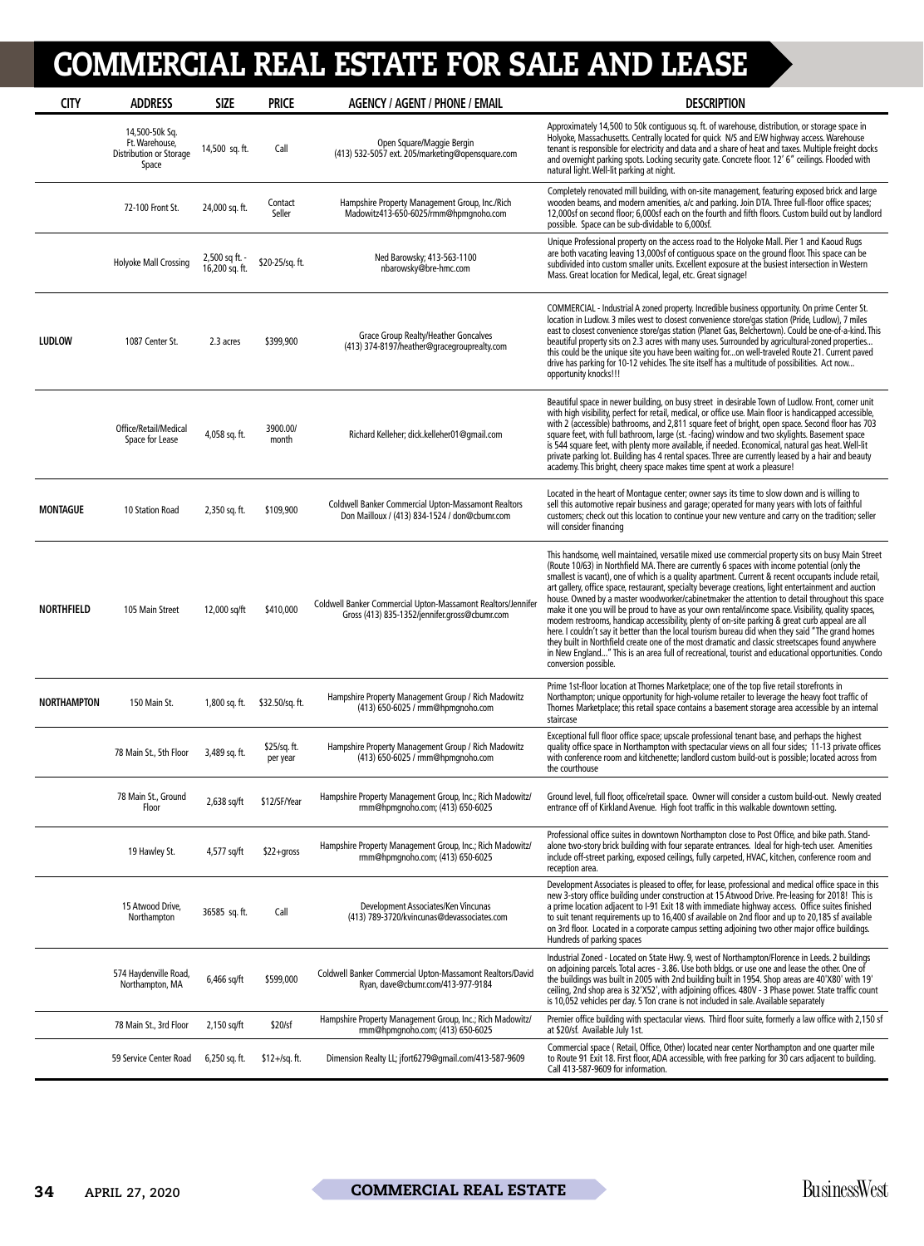| <b>CITY</b>        | <b>ADDRESS</b>                                                       | <b>SIZE</b>                      | <b>PRICE</b>             | <b>AGENCY / AGENT / PHONE / EMAIL</b>                                                                         | <b>DESCRIPTION</b>                                                                                                                                                                                                                                                                                                                                                                                                                                                                                                                                                                                                                                                                                                                                                                                                                                                                                                                                                                                                                                                |
|--------------------|----------------------------------------------------------------------|----------------------------------|--------------------------|---------------------------------------------------------------------------------------------------------------|-------------------------------------------------------------------------------------------------------------------------------------------------------------------------------------------------------------------------------------------------------------------------------------------------------------------------------------------------------------------------------------------------------------------------------------------------------------------------------------------------------------------------------------------------------------------------------------------------------------------------------------------------------------------------------------------------------------------------------------------------------------------------------------------------------------------------------------------------------------------------------------------------------------------------------------------------------------------------------------------------------------------------------------------------------------------|
|                    | 14,500-50k Sq.<br>Ft. Warehouse,<br>Distribution or Storage<br>Space | 14,500 sq. ft.                   | Call                     | Open Square/Maggie Bergin<br>(413) 532-5057 ext. 205/marketing@opensquare.com                                 | Approximately 14,500 to 50k contiguous sq. ft. of warehouse, distribution, or storage space in<br>Holyoke, Massachusetts. Centrally located for quick N/S and E/W highway access. Warehouse<br>tenant is responsible for electricity and data and a share of heat and taxes. Multiple freight docks<br>and overnight parking spots. Locking security gate. Concrete floor. 12' 6" ceilings. Flooded with<br>natural light. Well-lit parking at night.                                                                                                                                                                                                                                                                                                                                                                                                                                                                                                                                                                                                             |
|                    | 72-100 Front St.                                                     | 24,000 sq. ft.                   | Contact<br>Seller        | Hampshire Property Management Group, Inc./Rich<br>Madowitz413-650-6025/rmm@hpmgnoho.com                       | Completely renovated mill building, with on-site management, featuring exposed brick and large<br>wooden beams, and modern amenities, a/c and parking. Join DTA. Three full-floor office spaces;<br>12,000sf on second floor; 6,000sf each on the fourth and fifth floors. Custom build out by landlord<br>possible. Space can be sub-dividable to 6,000sf.                                                                                                                                                                                                                                                                                                                                                                                                                                                                                                                                                                                                                                                                                                       |
|                    | Holyoke Mall Crossing                                                | 2,500 sq ft. -<br>16,200 sq. ft. | \$20-25/sq. ft.          | Ned Barowsky; 413-563-1100<br>nbarowsky@bre-hmc.com                                                           | Unique Professional property on the access road to the Holyoke Mall. Pier 1 and Kaoud Rugs<br>are both vacating leaving 13,000sf of contiguous space on the ground floor. This space can be<br>subdivided into custom smaller units. Excellent exposure at the busiest intersection in Western<br>Mass. Great location for Medical, legal, etc. Great signage!                                                                                                                                                                                                                                                                                                                                                                                                                                                                                                                                                                                                                                                                                                    |
| <b>LUDLOW</b>      | 1087 Center St.                                                      | 2.3 acres                        | \$399,900                | Grace Group Realty/Heather Goncalves<br>(413) 374-8197/heather@gracegrouprealty.com                           | COMMERCIAL - Industrial A zoned property. Incredible business opportunity. On prime Center St.<br>location in Ludlow. 3 miles west to closest convenience store/gas station (Pride, Ludlow), 7 miles<br>east to closest convenience store/gas station (Planet Gas, Belchertown). Could be one-of-a-kind. This<br>beautiful property sits on 2.3 acres with many uses. Surrounded by agricultural-zoned properties<br>this could be the unique site you have been waiting foron well-traveled Route 21. Current paved<br>drive has parking for 10-12 vehicles. The site itself has a multitude of possibilities. Act now<br>opportunity knocks!!!                                                                                                                                                                                                                                                                                                                                                                                                                  |
|                    | Office/Retail/Medical<br>Space for Lease                             | 4,058 sq. ft.                    | 3900.00/<br>month        | Richard Kelleher; dick.kelleher01@gmail.com                                                                   | Beautiful space in newer building, on busy street in desirable Town of Ludlow. Front, corner unit<br>with high visibility, perfect for retail, medical, or office use. Main floor is handicapped accessible,<br>with 2 (accessible) bathrooms, and 2,811 square feet of bright, open space. Second floor has 703<br>square feet, with full bathroom, large (st. - facing) window and two skylights. Basement space<br>is 544 square feet, with plenty more available, if needed. Economical, natural gas heat. Well-lit<br>private parking lot. Building has 4 rental spaces. Three are currently leased by a hair and beauty<br>academy. This bright, cheery space makes time spent at work a pleasure!                                                                                                                                                                                                                                                                                                                                                          |
| <b>MONTAGUE</b>    | 10 Station Road                                                      | 2,350 sq. ft.                    | \$109,900                | <b>Coldwell Banker Commercial Upton-Massamont Realtors</b><br>Don Mailloux / (413) 834-1524 / don@cbumr.com   | Located in the heart of Montague center; owner says its time to slow down and is willing to<br>sell this automotive repair business and garage; operated for many years with lots of faithful<br>customers; check out this location to continue your new venture and carry on the tradition; seller<br>will consider financing                                                                                                                                                                                                                                                                                                                                                                                                                                                                                                                                                                                                                                                                                                                                    |
| <b>NORTHFIELD</b>  | 105 Main Street                                                      | 12,000 sq/ft                     | \$410,000                | Coldwell Banker Commercial Upton-Massamont Realtors/Jennifer<br>Gross (413) 835-1352/jennifer.gross@cbumr.com | This handsome, well maintained, versatile mixed use commercial property sits on busy Main Street<br>(Route 10/63) in Northfield MA. There are currently 6 spaces with income potential (only the<br>smallest is vacant), one of which is a quality apartment. Current & recent occupants include retail,<br>art gallery, office space, restaurant, specialty beverage creations, light entertainment and auction<br>house. Owned by a master woodworker/cabinetmaker the attention to detail throughout this space<br>make it one you will be proud to have as your own rental/income space. Visibility, quality spaces,<br>modern restrooms, handicap accessibility, plenty of on-site parking & great curb appeal are all<br>here. I couldn't say it better than the local tourism bureau did when they said "The grand homes<br>they built in Northfield create one of the most dramatic and classic streetscapes found anywhere<br>in New England" This is an area full of recreational, tourist and educational opportunities. Condo<br>conversion possible. |
| <b>NORTHAMPTON</b> | 150 Main St.                                                         | 1,800 sq. ft.                    | \$32.50/sq. ft.          | Hampshire Property Management Group / Rich Madowitz<br>(413) 650-6025 / rmm@hpmgnoho.com                      | Prime 1st-floor location at Thornes Marketplace; one of the top five retail storefronts in<br>Northampton; unique opportunity for high-volume retailer to leverage the heavy foot traffic of<br>Thornes Marketplace; this retail space contains a basement storage area accessible by an internal<br>staircase                                                                                                                                                                                                                                                                                                                                                                                                                                                                                                                                                                                                                                                                                                                                                    |
|                    | 78 Main St., 5th Floor                                               | 3,489 sq. ft.                    | \$25/sq. ft.<br>per year | Hampshire Property Management Group / Rich Madowitz<br>(413) 650-6025 / rmm@hpmgnoho.com                      | Exceptional full floor office space; upscale professional tenant base, and perhaps the highest<br>quality office space in Northampton with spectacular views on all four sides; 11-13 private offices<br>with conference room and kitchenette; landlord custom build-out is possible; located across from<br>the courthouse                                                                                                                                                                                                                                                                                                                                                                                                                                                                                                                                                                                                                                                                                                                                       |
|                    | 78 Main St., Ground<br>Floor                                         | 2,638 sq/ft                      | \$12/SF/Year             | Hampshire Property Management Group, Inc.; Rich Madowitz/<br>rmm@hpmqnoho.com; (413) 650-6025                 | Ground level, full floor, office/retail space. Owner will consider a custom build-out. Newly created<br>entrance off of Kirkland Avenue. High foot traffic in this walkable downtown setting.                                                                                                                                                                                                                                                                                                                                                                                                                                                                                                                                                                                                                                                                                                                                                                                                                                                                     |
|                    | 19 Hawley St.                                                        | 4,577 sq/ft                      | $$22+gross$              | Hampshire Property Management Group, Inc.; Rich Madowitz/<br>rmm@hpmqnoho.com; (413) 650-6025                 | Professional office suites in downtown Northampton close to Post Office, and bike path. Stand-<br>alone two-story brick building with four separate entrances. Ideal for high-tech user. Amenities<br>include off-street parking, exposed ceilings, fully carpeted, HVAC, kitchen, conference room and<br>reception area.                                                                                                                                                                                                                                                                                                                                                                                                                                                                                                                                                                                                                                                                                                                                         |
|                    | 15 Atwood Drive,<br>Northampton                                      | 36585 sq. ft.                    | Call                     | Development Associates/Ken Vincunas<br>(413) 789-3720/kvincunas@devassociates.com                             | Development Associates is pleased to offer, for lease, professional and medical office space in this<br>new 3-story office building under construction at 15 Atwood Drive. Pre-leasing for 2018! This is<br>a prime location adjacent to I-91 Exit 18 with immediate highway access. Office suites finished<br>to suit tenant requirements up to 16,400 sf available on 2nd floor and up to 20,185 sf available<br>on 3rd floor. Located in a corporate campus setting adjoining two other major office buildings.<br>Hundreds of parking spaces                                                                                                                                                                                                                                                                                                                                                                                                                                                                                                                  |
|                    | 574 Haydenville Road,<br>Northampton, MA                             | 6,466 sq/ft                      | \$599,000                | Coldwell Banker Commercial Upton-Massamont Realtors/David<br>Ryan, dave@cbumr.com/413-977-9184                | Industrial Zoned - Located on State Hwy. 9, west of Northampton/Florence in Leeds. 2 buildings<br>on adjoining parcels. Total acres - 3.86. Use both bldgs. or use one and lease the other. One of<br>the buildings was built in 2005 with 2nd building built in 1954. Shop areas are 40'X80' with 19'<br>ceiling, 2nd shop area is 32'X52', with adjoining offices. 480V - 3 Phase power. State traffic count<br>is 10,052 vehicles per day. 5 Ton crane is not included in sale. Available separately                                                                                                                                                                                                                                                                                                                                                                                                                                                                                                                                                           |
|                    | 78 Main St., 3rd Floor                                               | 2,150 sq/ft                      | \$20/sf                  | Hampshire Property Management Group, Inc.; Rich Madowitz/<br>rmm@hpmgnoho.com; (413) 650-6025                 | Premier office building with spectacular views. Third floor suite, formerly a law office with 2,150 sf<br>at \$20/sf. Available July 1st.                                                                                                                                                                                                                                                                                                                                                                                                                                                                                                                                                                                                                                                                                                                                                                                                                                                                                                                         |
|                    | 59 Service Center Road                                               | $6,250$ sq. ft.                  | $$12 + / sq.$ ft.        | Dimension Realty LL; jfort6279@qmail.com/413-587-9609                                                         | Commercial space (Retail, Office, Other) located near center Northampton and one quarter mile<br>to Route 91 Exit 18. First floor, ADA accessible, with free parking for 30 cars adjacent to building.<br>Call 413-587-9609 for information.                                                                                                                                                                                                                                                                                                                                                                                                                                                                                                                                                                                                                                                                                                                                                                                                                      |